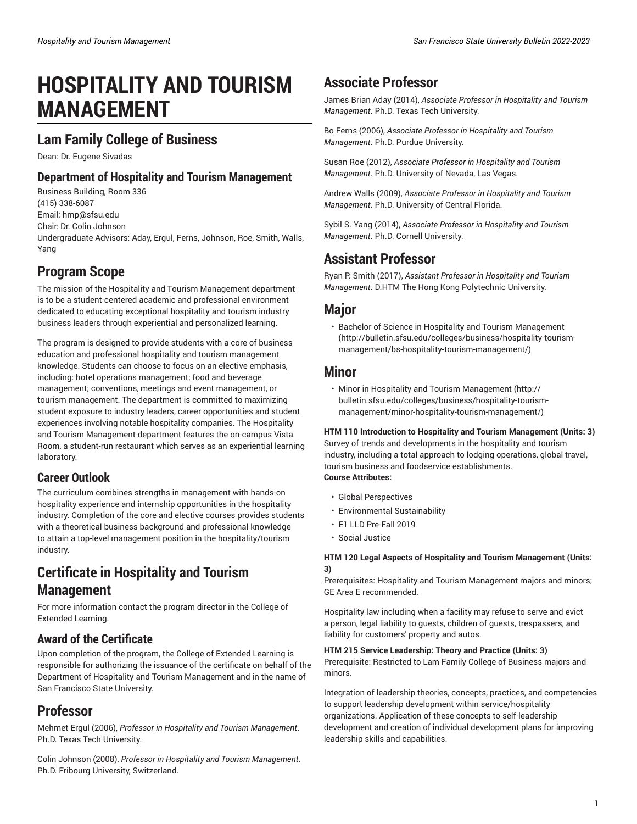# **HOSPITALITY AND TOURISM MANAGEMENT**

### **Lam Family College of Business**

Dean: Dr. Eugene Sivadas

### **Department of Hospitality and Tourism Management**

Business Building, Room 336 (415) 338-6087 Email: [hmp@sfsu.edu](mailto:hmp@sfsu.edu) Chair: Dr. Colin Johnson Undergraduate Advisors: Aday, Ergul, Ferns, Johnson, Roe, Smith, Walls, Yang

### **Program Scope**

The mission of the Hospitality and Tourism Management department is to be a student-centered academic and professional environment dedicated to educating exceptional hospitality and tourism industry business leaders through experiential and personalized learning.

The program is designed to provide students with a core of business education and professional hospitality and tourism management knowledge. Students can choose to focus on an elective emphasis, including: hotel operations management; food and beverage management; conventions, meetings and event management, or tourism management. The department is committed to maximizing student exposure to industry leaders, career opportunities and student experiences involving notable hospitality companies. The Hospitality and Tourism Management department features the on-campus Vista Room, a student-run restaurant which serves as an experiential learning laboratory.

### **Career Outlook**

The curriculum combines strengths in management with hands-on hospitality experience and internship opportunities in the hospitality industry. Completion of the core and elective courses provides students with a theoretical business background and professional knowledge to attain a top-level management position in the hospitality/tourism industry.

## **Certificate in Hospitality and Tourism Management**

For more information contact the program director in the College of Extended Learning.

### **Award of the Certificate**

Upon completion of the program, the College of Extended Learning is responsible for authorizing the issuance of the certificate on behalf of the Department of Hospitality and Tourism Management and in the name of San Francisco State University.

### **Professor**

Mehmet Ergul (2006), *Professor in Hospitality and Tourism Management*. Ph.D. Texas Tech University.

Colin Johnson (2008), *Professor in Hospitality and Tourism Management*. Ph.D. Fribourg University, Switzerland.

### **Associate Professor**

James Brian Aday (2014), *Associate Professor in Hospitality and Tourism Management*. Ph.D. Texas Tech University.

Bo Ferns (2006), *Associate Professor in Hospitality and Tourism Management*. Ph.D. Purdue University.

Susan Roe (2012), *Associate Professor in Hospitality and Tourism Management*. Ph.D. University of Nevada, Las Vegas.

Andrew Walls (2009), *Associate Professor in Hospitality and Tourism Management*. Ph.D. University of Central Florida.

Sybil S. Yang (2014), *Associate Professor in Hospitality and Tourism Management*. Ph.D. Cornell University.

### **Assistant Professor**

Ryan P. Smith (2017), *Assistant Professor in Hospitality and Tourism Management*. D.HTM The Hong Kong Polytechnic University.

### **Major**

• Bachelor of Science in Hospitality and Tourism [Management](http://bulletin.sfsu.edu/colleges/business/hospitality-tourism-management/bs-hospitality-tourism-management/) [\(http://bulletin.sfsu.edu/colleges/business/hospitality-tourism](http://bulletin.sfsu.edu/colleges/business/hospitality-tourism-management/bs-hospitality-tourism-management/)[management/bs-hospitality-tourism-management/](http://bulletin.sfsu.edu/colleges/business/hospitality-tourism-management/bs-hospitality-tourism-management/))

### **Minor**

• Minor in Hospitality and Tourism [Management](http://bulletin.sfsu.edu/colleges/business/hospitality-tourism-management/minor-hospitality-tourism-management/) ([http://](http://bulletin.sfsu.edu/colleges/business/hospitality-tourism-management/minor-hospitality-tourism-management/) [bulletin.sfsu.edu/colleges/business/hospitality-tourism](http://bulletin.sfsu.edu/colleges/business/hospitality-tourism-management/minor-hospitality-tourism-management/)[management/minor-hospitality-tourism-management/](http://bulletin.sfsu.edu/colleges/business/hospitality-tourism-management/minor-hospitality-tourism-management/))

### **HTM 110 Introduction to Hospitality and Tourism Management (Units: 3)**

Survey of trends and developments in the hospitality and tourism industry, including a total approach to lodging operations, global travel, tourism business and foodservice establishments. **Course Attributes:**

- Global Perspectives
- Environmental Sustainability
- E1 LLD Pre-Fall 2019
- Social Justice

#### **HTM 120 Legal Aspects of Hospitality and Tourism Management (Units: 3)**

Prerequisites: Hospitality and Tourism Management majors and minors; GE Area E recommended.

Hospitality law including when a facility may refuse to serve and evict a person, legal liability to guests, children of guests, trespassers, and liability for customers' property and autos.

#### **HTM 215 Service Leadership: Theory and Practice (Units: 3)**

Prerequisite: Restricted to Lam Family College of Business majors and minors.

Integration of leadership theories, concepts, practices, and competencies to support leadership development within service/hospitality organizations. Application of these concepts to self-leadership development and creation of individual development plans for improving leadership skills and capabilities.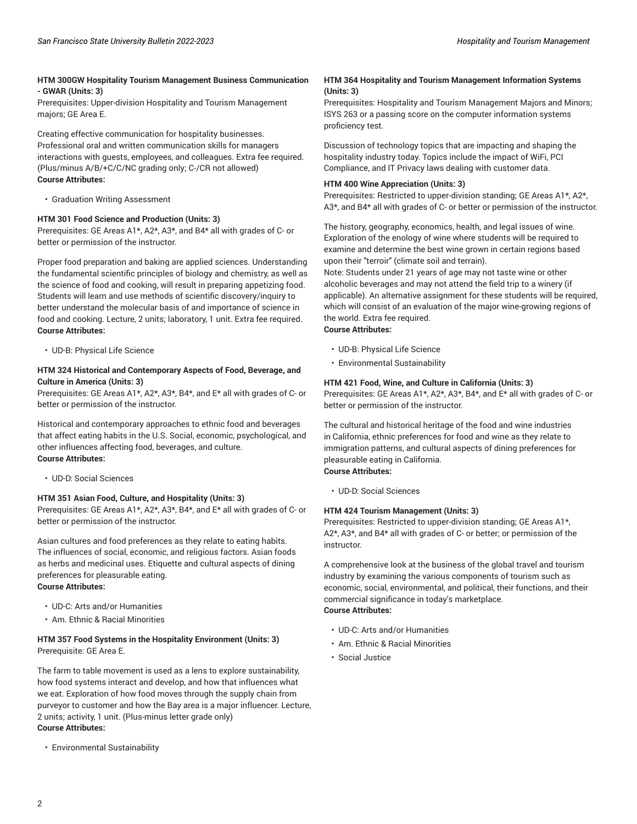#### **HTM 300GW Hospitality Tourism Management Business Communication - GWAR (Units: 3)**

Prerequisites: Upper-division Hospitality and Tourism Management majors; GE Area E.

Creating effective communication for hospitality businesses. Professional oral and written communication skills for managers interactions with guests, employees, and colleagues. Extra fee required. (Plus/minus A/B/+C/C/NC grading only; C-/CR not allowed) **Course Attributes:**

• Graduation Writing Assessment

#### **HTM 301 Food Science and Production (Units: 3)**

Prerequisites: GE Areas A1\*, A2\*, A3\*, and B4\* all with grades of C- or better or permission of the instructor.

Proper food preparation and baking are applied sciences. Understanding the fundamental scientific principles of biology and chemistry, as well as the science of food and cooking, will result in preparing appetizing food. Students will learn and use methods of scientific discovery/inquiry to better understand the molecular basis of and importance of science in food and cooking. Lecture, 2 units; laboratory, 1 unit. Extra fee required. **Course Attributes:**

• UD-B: Physical Life Science

#### **HTM 324 Historical and Contemporary Aspects of Food, Beverage, and Culture in America (Units: 3)**

Prerequisites: GE Areas A1\*, A2\*, A3\*, B4\*, and E\* all with grades of C- or better or permission of the instructor.

Historical and contemporary approaches to ethnic food and beverages that affect eating habits in the U.S. Social, economic, psychological, and other influences affecting food, beverages, and culture. **Course Attributes:**

• UD-D: Social Sciences

#### **HTM 351 Asian Food, Culture, and Hospitality (Units: 3)**

Prerequisites: GE Areas A1\*, A2\*, A3\*, B4\*, and E\* all with grades of C- or better or permission of the instructor.

Asian cultures and food preferences as they relate to eating habits. The influences of social, economic, and religious factors. Asian foods as herbs and medicinal uses. Etiquette and cultural aspects of dining preferences for pleasurable eating. **Course Attributes:**

- UD-C: Arts and/or Humanities
- Am. Ethnic & Racial Minorities

#### **HTM 357 Food Systems in the Hospitality Environment (Units: 3)** Prerequisite: GE Area E.

The farm to table movement is used as a lens to explore sustainability, how food systems interact and develop, and how that influences what we eat. Exploration of how food moves through the supply chain from purveyor to customer and how the Bay area is a major influencer. Lecture, 2 units; activity, 1 unit. (Plus-minus letter grade only) **Course Attributes:**

• Environmental Sustainability

#### **HTM 364 Hospitality and Tourism Management Information Systems (Units: 3)**

Prerequisites: Hospitality and Tourism Management Majors and Minors; ISYS 263 or a passing score on the computer information systems proficiency test.

Discussion of technology topics that are impacting and shaping the hospitality industry today. Topics include the impact of WiFi, PCI Compliance, and IT Privacy laws dealing with customer data.

#### **HTM 400 Wine Appreciation (Units: 3)**

Prerequisites: Restricted to upper-division standing; GE Areas A1\*, A2\*, A3\*, and B4\* all with grades of C- or better or permission of the instructor.

The history, geography, economics, health, and legal issues of wine. Exploration of the enology of wine where students will be required to examine and determine the best wine grown in certain regions based upon their "terroir" (climate soil and terrain).

Note: Students under 21 years of age may not taste wine or other alcoholic beverages and may not attend the field trip to a winery (if applicable). An alternative assignment for these students will be required, which will consist of an evaluation of the major wine-growing regions of the world. Extra fee required. **Course Attributes:**

- UD-B: Physical Life Science
- Environmental Sustainability

#### **HTM 421 Food, Wine, and Culture in California (Units: 3)**

Prerequisites: GE Areas A1\*, A2\*, A3\*, B4\*, and E\* all with grades of C- or better or permission of the instructor.

The cultural and historical heritage of the food and wine industries in California, ethnic preferences for food and wine as they relate to immigration patterns, and cultural aspects of dining preferences for pleasurable eating in California. **Course Attributes:**

- 
- UD-D: Social Sciences

#### **HTM 424 Tourism Management (Units: 3)**

Prerequisites: Restricted to upper-division standing; GE Areas A1\*, A2\*, A3\*, and B4\* all with grades of C- or better; or permission of the instructor.

A comprehensive look at the business of the global travel and tourism industry by examining the various components of tourism such as economic, social, environmental, and political, their functions, and their commercial significance in today's marketplace. **Course Attributes:**

- UD-C: Arts and/or Humanities
- Am. Ethnic & Racial Minorities
- Social Justice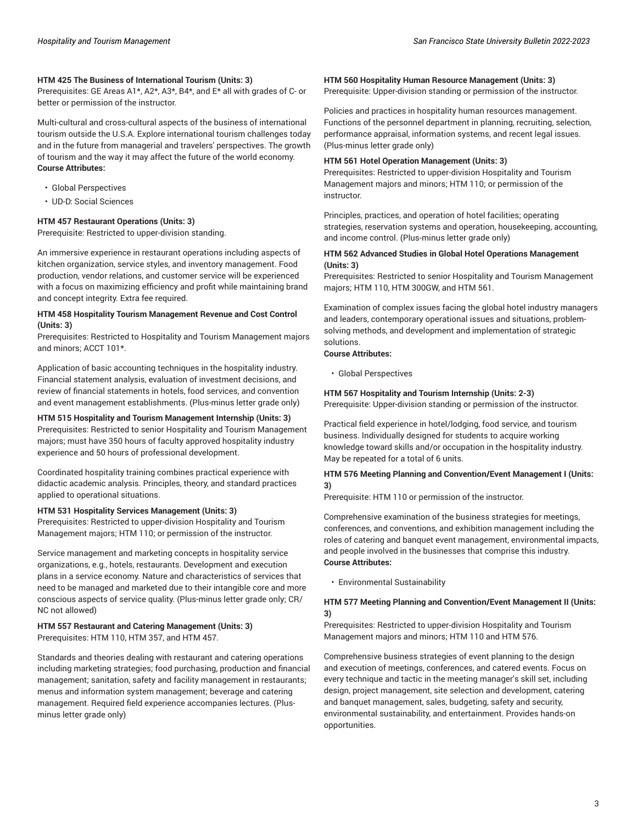#### **HTM 425 The Business of International Tourism (Units: 3)**

Prerequisites: GE Areas A1\*, A2\*, A3\*, B4\*, and E\* all with grades of C- or better or permission of the instructor.

Multi-cultural and cross-cultural aspects of the business of international tourism outside the U.S.A. Explore international tourism challenges today and in the future from managerial and travelers' perspectives. The growth of tourism and the way it may affect the future of the world economy. **Course Attributes:**

- Global Perspectives
- UD-D: Social Sciences

#### **HTM 457 Restaurant Operations (Units: 3)**

Prerequisite: Restricted to upper-division standing.

An immersive experience in restaurant operations including aspects of kitchen organization, service styles, and inventory management. Food production, vendor relations, and customer service will be experienced with a focus on maximizing efficiency and profit while maintaining brand and concept integrity. Extra fee required.

#### **HTM 458 Hospitality Tourism Management Revenue and Cost Control (Units: 3)**

Prerequisites: Restricted to Hospitality and Tourism Management majors and minors; ACCT 101\*.

Application of basic accounting techniques in the hospitality industry. Financial statement analysis, evaluation of investment decisions, and review of financial statements in hotels, food services, and convention and event management establishments. (Plus-minus letter grade only)

#### **HTM 515 Hospitality and Tourism Management Internship (Units: 3)**

Prerequisites: Restricted to senior Hospitality and Tourism Management majors; must have 350 hours of faculty approved hospitality industry experience and 50 hours of professional development.

Coordinated hospitality training combines practical experience with didactic academic analysis. Principles, theory, and standard practices applied to operational situations.

#### **HTM 531 Hospitality Services Management (Units: 3)**

Prerequisites: Restricted to upper-division Hospitality and Tourism Management majors; HTM 110; or permission of the instructor.

Service management and marketing concepts in hospitality service organizations, e.g., hotels, restaurants. Development and execution plans in a service economy. Nature and characteristics of services that need to be managed and marketed due to their intangible core and more conscious aspects of service quality. (Plus-minus letter grade only; CR/ NC not allowed)

#### **HTM 557 Restaurant and Catering Management (Units: 3)** Prerequisites: HTM 110, HTM 357, and HTM 457.

Standards and theories dealing with restaurant and catering operations including marketing strategies; food purchasing, production and financial management; sanitation, safety and facility management in restaurants; menus and information system management; beverage and catering management. Required field experience accompanies lectures. (Plusminus letter grade only)

#### **HTM 560 Hospitality Human Resource Management (Units: 3)**

Prerequisite: Upper-division standing or permission of the instructor.

Policies and practices in hospitality human resources management. Functions of the personnel department in planning, recruiting, selection, performance appraisal, information systems, and recent legal issues. (Plus-minus letter grade only)

#### **HTM 561 Hotel Operation Management (Units: 3)**

Prerequisites: Restricted to upper-division Hospitality and Tourism Management majors and minors; HTM 110; or permission of the instructor.

Principles, practices, and operation of hotel facilities; operating strategies, reservation systems and operation, housekeeping, accounting, and income control. (Plus-minus letter grade only)

#### **HTM 562 Advanced Studies in Global Hotel Operations Management (Units: 3)**

Prerequisites: Restricted to senior Hospitality and Tourism Management majors; HTM 110, HTM 300GW, and HTM 561.

Examination of complex issues facing the global hotel industry managers and leaders, contemporary operational issues and situations, problemsolving methods, and development and implementation of strategic solutions.

#### **Course Attributes:**

• Global Perspectives

#### **HTM 567 Hospitality and Tourism Internship (Units: 2-3)**

Prerequisite: Upper-division standing or permission of the instructor.

Practical field experience in hotel/lodging, food service, and tourism business. Individually designed for students to acquire working knowledge toward skills and/or occupation in the hospitality industry. May be repeated for a total of 6 units.

#### **HTM 576 Meeting Planning and Convention/Event Management I (Units: 3)**

Prerequisite: HTM 110 or permission of the instructor.

Comprehensive examination of the business strategies for meetings, conferences, and conventions, and exhibition management including the roles of catering and banquet event management, environmental impacts, and people involved in the businesses that comprise this industry. **Course Attributes:**

• Environmental Sustainability

#### **HTM 577 Meeting Planning and Convention/Event Management II (Units: 3)**

Prerequisites: Restricted to upper-division Hospitality and Tourism Management majors and minors; HTM 110 and HTM 576.

Comprehensive business strategies of event planning to the design and execution of meetings, conferences, and catered events. Focus on every technique and tactic in the meeting manager's skill set, including design, project management, site selection and development, catering and banquet management, sales, budgeting, safety and security, environmental sustainability, and entertainment. Provides hands-on opportunities.